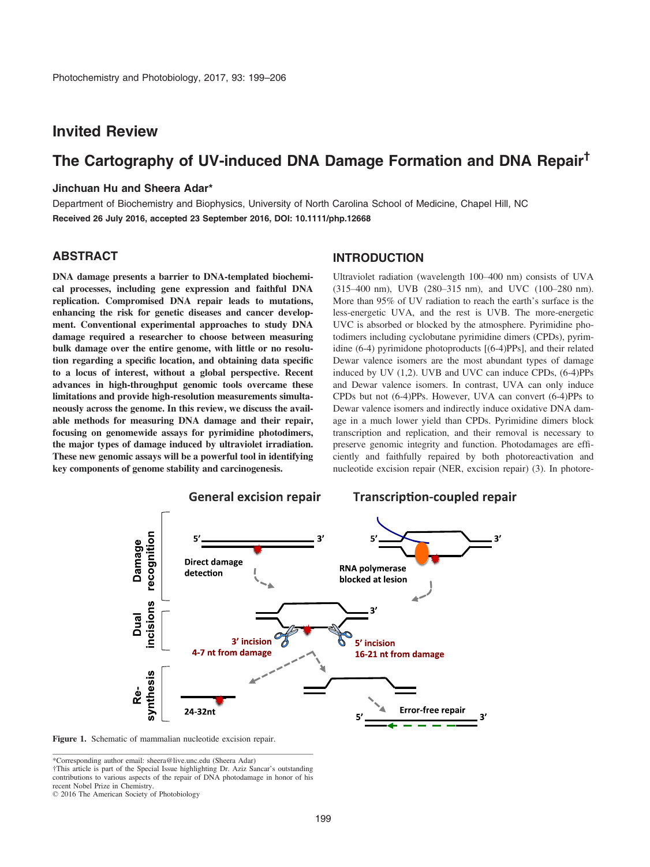## Invited Review

# The Cartography of UV-induced DNA Damage Formation and DNA Repair†

#### Jinchuan Hu and Sheera Adar\*

Department of Biochemistry and Biophysics, University of North Carolina School of Medicine, Chapel Hill, NC Received 26 July 2016, accepted 23 September 2016, DOI: 10.1111/php.12668

### ABSTRACT

DNA damage presents a barrier to DNA-templated biochemical processes, including gene expression and faithful DNA replication. Compromised DNA repair leads to mutations, enhancing the risk for genetic diseases and cancer development. Conventional experimental approaches to study DNA damage required a researcher to choose between measuring bulk damage over the entire genome, with little or no resolution regarding a specific location, and obtaining data specific to a locus of interest, without a global perspective. Recent advances in high-throughput genomic tools overcame these limitations and provide high-resolution measurements simultaneously across the genome. In this review, we discuss the available methods for measuring DNA damage and their repair, focusing on genomewide assays for pyrimidine photodimers, the major types of damage induced by ultraviolet irradiation. These new genomic assays will be a powerful tool in identifying key components of genome stability and carcinogenesis.

### **INTRODUCTION**

Ultraviolet radiation (wavelength 100–400 nm) consists of UVA (315–400 nm), UVB (280–315 nm), and UVC (100–280 nm). More than 95% of UV radiation to reach the earth's surface is the less-energetic UVA, and the rest is UVB. The more-energetic UVC is absorbed or blocked by the atmosphere. Pyrimidine photodimers including cyclobutane pyrimidine dimers (CPDs), pyrimidine (6-4) pyrimidone photoproducts [(6-4)PPs], and their related Dewar valence isomers are the most abundant types of damage induced by UV (1,2). UVB and UVC can induce CPDs, (6-4)PPs and Dewar valence isomers. In contrast, UVA can only induce CPDs but not (6-4)PPs. However, UVA can convert (6-4)PPs to Dewar valence isomers and indirectly induce oxidative DNA damage in a much lower yield than CPDs. Pyrimidine dimers block transcription and replication, and their removal is necessary to preserve genomic integrity and function. Photodamages are efficiently and faithfully repaired by both photoreactivation and nucleotide excision repair (NER, excision repair) (3). In photore-





\*Corresponding author email: sheera@live.unc.edu (Sheera Adar) †This article is part of the Special Issue highlighting Dr. Aziz Sancar's outstanding

contributions to various aspects of the repair of DNA photodamage in honor of his recent Nobel Prize in Chemistry.

© 2016 The American Society of Photobiology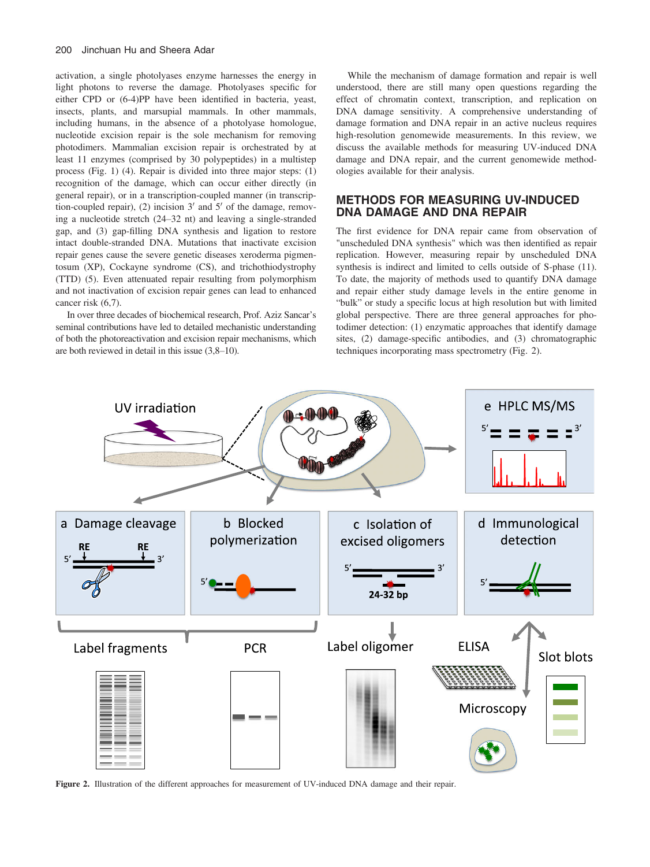activation, a single photolyases enzyme harnesses the energy in light photons to reverse the damage. Photolyases specific for either CPD or (6-4)PP have been identified in bacteria, yeast, insects, plants, and marsupial mammals. In other mammals, including humans, in the absence of a photolyase homologue, nucleotide excision repair is the sole mechanism for removing photodimers. Mammalian excision repair is orchestrated by at least 11 enzymes (comprised by 30 polypeptides) in a multistep process (Fig. 1) (4). Repair is divided into three major steps: (1) recognition of the damage, which can occur either directly (in general repair), or in a transcription-coupled manner (in transcription-coupled repair), (2) incision  $3'$  and  $5'$  of the damage, removing a nucleotide stretch (24–32 nt) and leaving a single-stranded gap, and (3) gap-filling DNA synthesis and ligation to restore intact double-stranded DNA. Mutations that inactivate excision repair genes cause the severe genetic diseases xeroderma pigmentosum (XP), Cockayne syndrome (CS), and trichothiodystrophy (TTD) (5). Even attenuated repair resulting from polymorphism and not inactivation of excision repair genes can lead to enhanced cancer risk (6,7).

In over three decades of biochemical research, Prof. Aziz Sancar's seminal contributions have led to detailed mechanistic understanding of both the photoreactivation and excision repair mechanisms, which are both reviewed in detail in this issue (3,8–10).

While the mechanism of damage formation and repair is well understood, there are still many open questions regarding the effect of chromatin context, transcription, and replication on DNA damage sensitivity. A comprehensive understanding of damage formation and DNA repair in an active nucleus requires high-resolution genomewide measurements. In this review, we discuss the available methods for measuring UV-induced DNA damage and DNA repair, and the current genomewide methodologies available for their analysis.

### METHODS FOR MEASURING UV-INDUCED DNA DAMAGE AND DNA REPAIR

The first evidence for DNA repair came from observation of "unscheduled DNA synthesis" which was then identified as repair replication. However, measuring repair by unscheduled DNA synthesis is indirect and limited to cells outside of S-phase (11). To date, the majority of methods used to quantify DNA damage and repair either study damage levels in the entire genome in "bulk" or study a specific locus at high resolution but with limited global perspective. There are three general approaches for photodimer detection: (1) enzymatic approaches that identify damage sites, (2) damage-specific antibodies, and (3) chromatographic techniques incorporating mass spectrometry (Fig. 2).



Figure 2. Illustration of the different approaches for measurement of UV-induced DNA damage and their repair.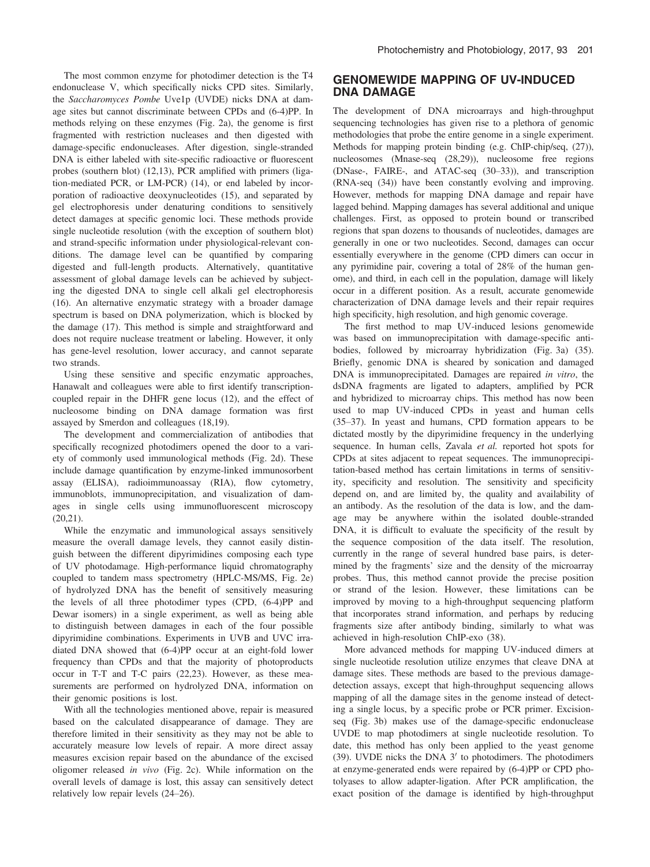The most common enzyme for photodimer detection is the T4 endonuclease V, which specifically nicks CPD sites. Similarly, the Saccharomyces Pombe Uve1p (UVDE) nicks DNA at damage sites but cannot discriminate between CPDs and (6-4)PP. In methods relying on these enzymes (Fig. 2a), the genome is first fragmented with restriction nucleases and then digested with damage-specific endonucleases. After digestion, single-stranded DNA is either labeled with site-specific radioactive or fluorescent probes (southern blot) (12,13), PCR amplified with primers (ligation-mediated PCR, or LM-PCR) (14), or end labeled by incorporation of radioactive deoxynucleotides (15), and separated by gel electrophoresis under denaturing conditions to sensitively detect damages at specific genomic loci. These methods provide single nucleotide resolution (with the exception of southern blot) and strand-specific information under physiological-relevant conditions. The damage level can be quantified by comparing digested and full-length products. Alternatively, quantitative assessment of global damage levels can be achieved by subjecting the digested DNA to single cell alkali gel electrophoresis (16). An alternative enzymatic strategy with a broader damage spectrum is based on DNA polymerization, which is blocked by the damage (17). This method is simple and straightforward and does not require nuclease treatment or labeling. However, it only has gene-level resolution, lower accuracy, and cannot separate two strands.

Using these sensitive and specific enzymatic approaches, Hanawalt and colleagues were able to first identify transcriptioncoupled repair in the DHFR gene locus (12), and the effect of nucleosome binding on DNA damage formation was first assayed by Smerdon and colleagues (18,19).

The development and commercialization of antibodies that specifically recognized photodimers opened the door to a variety of commonly used immunological methods (Fig. 2d). These include damage quantification by enzyme-linked immunosorbent assay (ELISA), radioimmunoassay (RIA), flow cytometry, immunoblots, immunoprecipitation, and visualization of damages in single cells using immunofluorescent microscopy (20,21).

While the enzymatic and immunological assays sensitively measure the overall damage levels, they cannot easily distinguish between the different dipyrimidines composing each type of UV photodamage. High-performance liquid chromatography coupled to tandem mass spectrometry (HPLC-MS/MS, Fig. 2e) of hydrolyzed DNA has the benefit of sensitively measuring the levels of all three photodimer types (CPD, (6-4)PP and Dewar isomers) in a single experiment, as well as being able to distinguish between damages in each of the four possible dipyrimidine combinations. Experiments in UVB and UVC irradiated DNA showed that (6-4)PP occur at an eight-fold lower frequency than CPDs and that the majority of photoproducts occur in T-T and T-C pairs (22,23). However, as these measurements are performed on hydrolyzed DNA, information on their genomic positions is lost.

With all the technologies mentioned above, repair is measured based on the calculated disappearance of damage. They are therefore limited in their sensitivity as they may not be able to accurately measure low levels of repair. A more direct assay measures excision repair based on the abundance of the excised oligomer released in vivo (Fig. 2c). While information on the overall levels of damage is lost, this assay can sensitively detect relatively low repair levels (24–26).

### GENOMEWIDE MAPPING OF UV-INDUCED DNA DAMAGE

The development of DNA microarrays and high-throughput sequencing technologies has given rise to a plethora of genomic methodologies that probe the entire genome in a single experiment. Methods for mapping protein binding (e.g. ChIP-chip/seq, (27)), nucleosomes (Mnase-seq (28,29)), nucleosome free regions (DNase-, FAIRE-, and ATAC-seq (30–33)), and transcription (RNA-seq (34)) have been constantly evolving and improving. However, methods for mapping DNA damage and repair have lagged behind. Mapping damages has several additional and unique challenges. First, as opposed to protein bound or transcribed regions that span dozens to thousands of nucleotides, damages are generally in one or two nucleotides. Second, damages can occur essentially everywhere in the genome (CPD dimers can occur in any pyrimidine pair, covering a total of 28% of the human genome), and third, in each cell in the population, damage will likely occur in a different position. As a result, accurate genomewide characterization of DNA damage levels and their repair requires high specificity, high resolution, and high genomic coverage.

The first method to map UV-induced lesions genomewide was based on immunoprecipitation with damage-specific antibodies, followed by microarray hybridization (Fig. 3a) (35). Briefly, genomic DNA is sheared by sonication and damaged DNA is immunoprecipitated. Damages are repaired in vitro, the dsDNA fragments are ligated to adapters, amplified by PCR and hybridized to microarray chips. This method has now been used to map UV-induced CPDs in yeast and human cells (35–37). In yeast and humans, CPD formation appears to be dictated mostly by the dipyrimidine frequency in the underlying sequence. In human cells, Zavala et al. reported hot spots for CPDs at sites adjacent to repeat sequences. The immunoprecipitation-based method has certain limitations in terms of sensitivity, specificity and resolution. The sensitivity and specificity depend on, and are limited by, the quality and availability of an antibody. As the resolution of the data is low, and the damage may be anywhere within the isolated double-stranded DNA, it is difficult to evaluate the specificity of the result by the sequence composition of the data itself. The resolution, currently in the range of several hundred base pairs, is determined by the fragments' size and the density of the microarray probes. Thus, this method cannot provide the precise position or strand of the lesion. However, these limitations can be improved by moving to a high-throughput sequencing platform that incorporates strand information, and perhaps by reducing fragments size after antibody binding, similarly to what was achieved in high-resolution ChIP-exo (38).

More advanced methods for mapping UV-induced dimers at single nucleotide resolution utilize enzymes that cleave DNA at damage sites. These methods are based to the previous damagedetection assays, except that high-throughput sequencing allows mapping of all the damage sites in the genome instead of detecting a single locus, by a specific probe or PCR primer. Excisionseq (Fig. 3b) makes use of the damage-specific endonuclease UVDE to map photodimers at single nucleotide resolution. To date, this method has only been applied to the yeast genome (39). UVDE nicks the DNA  $3'$  to photodimers. The photodimers at enzyme-generated ends were repaired by (6-4)PP or CPD photolyases to allow adapter-ligation. After PCR amplification, the exact position of the damage is identified by high-throughput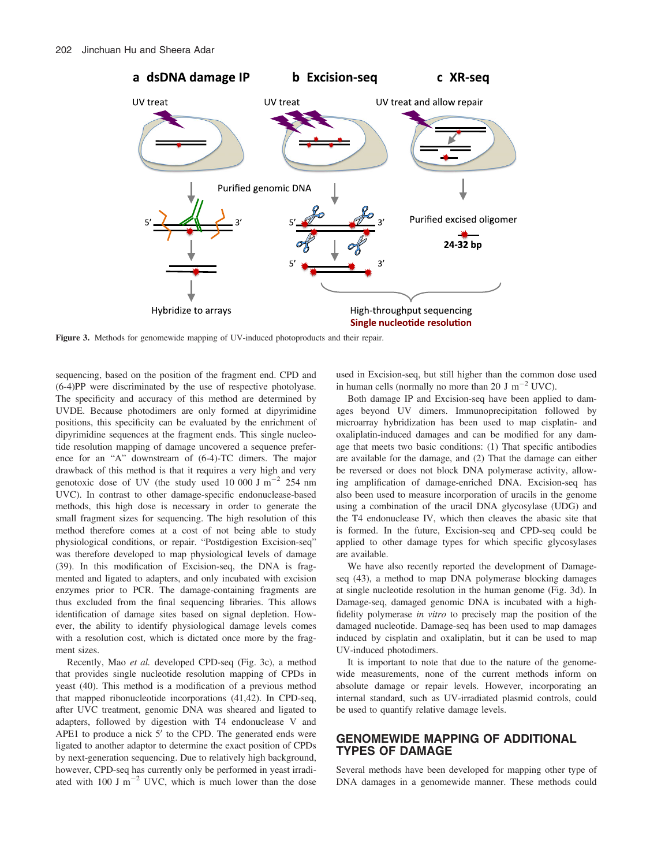

Figure 3. Methods for genomewide mapping of UV-induced photoproducts and their repair.

sequencing, based on the position of the fragment end. CPD and (6-4)PP were discriminated by the use of respective photolyase. The specificity and accuracy of this method are determined by UVDE. Because photodimers are only formed at dipyrimidine positions, this specificity can be evaluated by the enrichment of dipyrimidine sequences at the fragment ends. This single nucleotide resolution mapping of damage uncovered a sequence preference for an "A" downstream of (6-4)-TC dimers. The major drawback of this method is that it requires a very high and very genotoxic dose of UV (the study used 10 000 J  $\text{m}^{-2}$  254 nm UVC). In contrast to other damage-specific endonuclease-based methods, this high dose is necessary in order to generate the small fragment sizes for sequencing. The high resolution of this method therefore comes at a cost of not being able to study physiological conditions, or repair. "Postdigestion Excision-seq" was therefore developed to map physiological levels of damage (39). In this modification of Excision-seq, the DNA is fragmented and ligated to adapters, and only incubated with excision enzymes prior to PCR. The damage-containing fragments are thus excluded from the final sequencing libraries. This allows identification of damage sites based on signal depletion. However, the ability to identify physiological damage levels comes with a resolution cost, which is dictated once more by the fragment sizes.

Recently, Mao et al. developed CPD-seq (Fig. 3c), a method that provides single nucleotide resolution mapping of CPDs in yeast (40). This method is a modification of a previous method that mapped ribonucleotide incorporations (41,42). In CPD-seq, after UVC treatment, genomic DNA was sheared and ligated to adapters, followed by digestion with T4 endonuclease V and APE1 to produce a nick  $5'$  to the CPD. The generated ends were ligated to another adaptor to determine the exact position of CPDs by next-generation sequencing. Due to relatively high background, however, CPD-seq has currently only be performed in yeast irradiated with  $100 \text{ J m}^{-2}$  UVC, which is much lower than the dose

used in Excision-seq, but still higher than the common dose used in human cells (normally no more than 20 J  $m^{-2}$  UVC).

Both damage IP and Excision-seq have been applied to damages beyond UV dimers. Immunoprecipitation followed by microarray hybridization has been used to map cisplatin- and oxaliplatin-induced damages and can be modified for any damage that meets two basic conditions: (1) That specific antibodies are available for the damage, and (2) That the damage can either be reversed or does not block DNA polymerase activity, allowing amplification of damage-enriched DNA. Excision-seq has also been used to measure incorporation of uracils in the genome using a combination of the uracil DNA glycosylase (UDG) and the T4 endonuclease IV, which then cleaves the abasic site that is formed. In the future, Excision-seq and CPD-seq could be applied to other damage types for which specific glycosylases are available.

We have also recently reported the development of Damageseq (43), a method to map DNA polymerase blocking damages at single nucleotide resolution in the human genome (Fig. 3d). In Damage-seq, damaged genomic DNA is incubated with a highfidelity polymerase in vitro to precisely map the position of the damaged nucleotide. Damage-seq has been used to map damages induced by cisplatin and oxaliplatin, but it can be used to map UV-induced photodimers.

It is important to note that due to the nature of the genomewide measurements, none of the current methods inform on absolute damage or repair levels. However, incorporating an internal standard, such as UV-irradiated plasmid controls, could be used to quantify relative damage levels.

### GENOMEWIDE MAPPING OF ADDITIONAL TYPES OF DAMAGE

Several methods have been developed for mapping other type of DNA damages in a genomewide manner. These methods could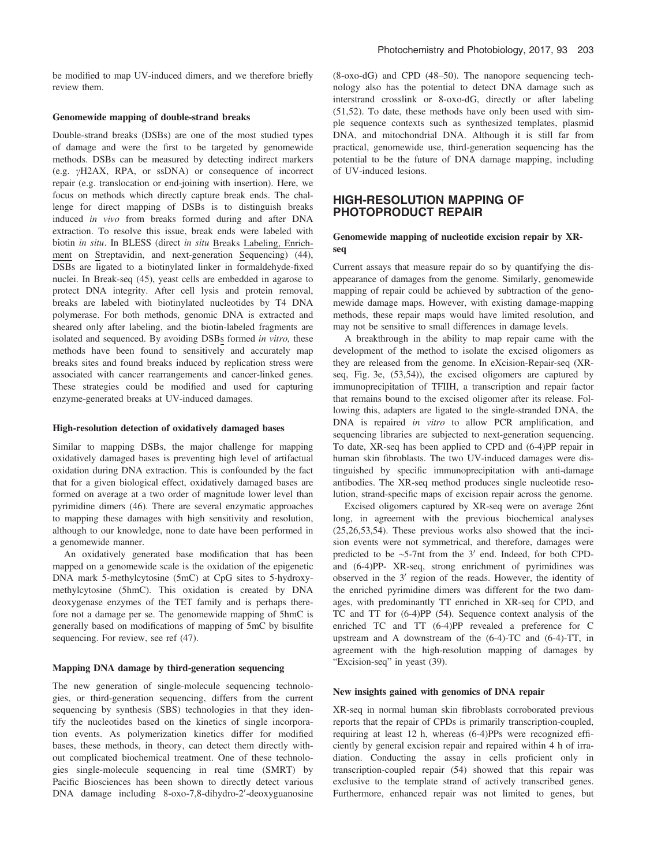#### Genomewide mapping of double-strand breaks

Double-strand breaks (DSBs) are one of the most studied types of damage and were the first to be targeted by genomewide methods. DSBs can be measured by detecting indirect markers (e.g.  $\gamma$ H2AX, RPA, or ssDNA) or consequence of incorrect repair (e.g. translocation or end-joining with insertion). Here, we focus on methods which directly capture break ends. The challenge for direct mapping of DSBs is to distinguish breaks induced in vivo from breaks formed during and after DNA extraction. To resolve this issue, break ends were labeled with biotin in situ. In BLESS (direct in situ Breaks Labeling, Enrichment on Streptavidin, and next-generation Sequencing) (44), DSBs are ligated to a biotinylated linker in formaldehyde-fixed nuclei. In Break-seq (45), yeast cells are embedded in agarose to protect DNA integrity. After cell lysis and protein removal, breaks are labeled with biotinylated nucleotides by T4 DNA polymerase. For both methods, genomic DNA is extracted and sheared only after labeling, and the biotin-labeled fragments are isolated and sequenced. By avoiding DSBs formed in vitro, these methods have been found to sensitively and accurately map breaks sites and found breaks induced by replication stress were associated with cancer rearrangements and cancer-linked genes. These strategies could be modified and used for capturing enzyme-generated breaks at UV-induced damages.

#### High-resolution detection of oxidatively damaged bases

Similar to mapping DSBs, the major challenge for mapping oxidatively damaged bases is preventing high level of artifactual oxidation during DNA extraction. This is confounded by the fact that for a given biological effect, oxidatively damaged bases are formed on average at a two order of magnitude lower level than pyrimidine dimers (46). There are several enzymatic approaches to mapping these damages with high sensitivity and resolution, although to our knowledge, none to date have been performed in a genomewide manner.

An oxidatively generated base modification that has been mapped on a genomewide scale is the oxidation of the epigenetic DNA mark 5-methylcytosine (5mC) at CpG sites to 5-hydroxymethylcytosine (5hmC). This oxidation is created by DNA deoxygenase enzymes of the TET family and is perhaps therefore not a damage per se. The genomewide mapping of 5hmC is generally based on modifications of mapping of 5mC by bisulfite sequencing. For review, see ref (47).

#### Mapping DNA damage by third-generation sequencing

The new generation of single-molecule sequencing technologies, or third-generation sequencing, differs from the current sequencing by synthesis (SBS) technologies in that they identify the nucleotides based on the kinetics of single incorporation events. As polymerization kinetics differ for modified bases, these methods, in theory, can detect them directly without complicated biochemical treatment. One of these technologies single-molecule sequencing in real time (SMRT) by Pacific Biosciences has been shown to directly detect various DNA damage including 8-oxo-7,8-dihydro-2'-deoxyguanosine

(8-oxo-dG) and CPD (48–50). The nanopore sequencing technology also has the potential to detect DNA damage such as interstrand crosslink or 8-oxo-dG, directly or after labeling (51,52). To date, these methods have only been used with simple sequence contexts such as synthesized templates, plasmid DNA, and mitochondrial DNA. Although it is still far from practical, genomewide use, third-generation sequencing has the potential to be the future of DNA damage mapping, including of UV-induced lesions.

#### HIGH-RESOLUTION MAPPING OF PHOTOPRODUCT REPAIR

#### Genomewide mapping of nucleotide excision repair by XRseq

Current assays that measure repair do so by quantifying the disappearance of damages from the genome. Similarly, genomewide mapping of repair could be achieved by subtraction of the genomewide damage maps. However, with existing damage-mapping methods, these repair maps would have limited resolution, and may not be sensitive to small differences in damage levels.

A breakthrough in the ability to map repair came with the development of the method to isolate the excised oligomers as they are released from the genome. In eXcision-Repair-seq (XRseq, Fig. 3e, (53,54)), the excised oligomers are captured by immunoprecipitation of TFIIH, a transcription and repair factor that remains bound to the excised oligomer after its release. Following this, adapters are ligated to the single-stranded DNA, the DNA is repaired in vitro to allow PCR amplification, and sequencing libraries are subjected to next-generation sequencing. To date, XR-seq has been applied to CPD and (6-4)PP repair in human skin fibroblasts. The two UV-induced damages were distinguished by specific immunoprecipitation with anti-damage antibodies. The XR-seq method produces single nucleotide resolution, strand-specific maps of excision repair across the genome.

Excised oligomers captured by XR-seq were on average 26nt long, in agreement with the previous biochemical analyses (25,26,53,54). These previous works also showed that the incision events were not symmetrical, and therefore, damages were predicted to be  $\sim$  5-7nt from the 3' end. Indeed, for both CPDand (6-4)PP- XR-seq, strong enrichment of pyrimidines was observed in the  $3'$  region of the reads. However, the identity of the enriched pyrimidine dimers was different for the two damages, with predominantly TT enriched in XR-seq for CPD, and TC and TT for (6-4)PP (54). Sequence context analysis of the enriched TC and TT (6-4)PP revealed a preference for C upstream and A downstream of the (6-4)-TC and (6-4)-TT, in agreement with the high-resolution mapping of damages by "Excision-seq" in yeast (39).

#### New insights gained with genomics of DNA repair

XR-seq in normal human skin fibroblasts corroborated previous reports that the repair of CPDs is primarily transcription-coupled, requiring at least 12 h, whereas (6-4)PPs were recognized efficiently by general excision repair and repaired within 4 h of irradiation. Conducting the assay in cells proficient only in transcription-coupled repair (54) showed that this repair was exclusive to the template strand of actively transcribed genes. Furthermore, enhanced repair was not limited to genes, but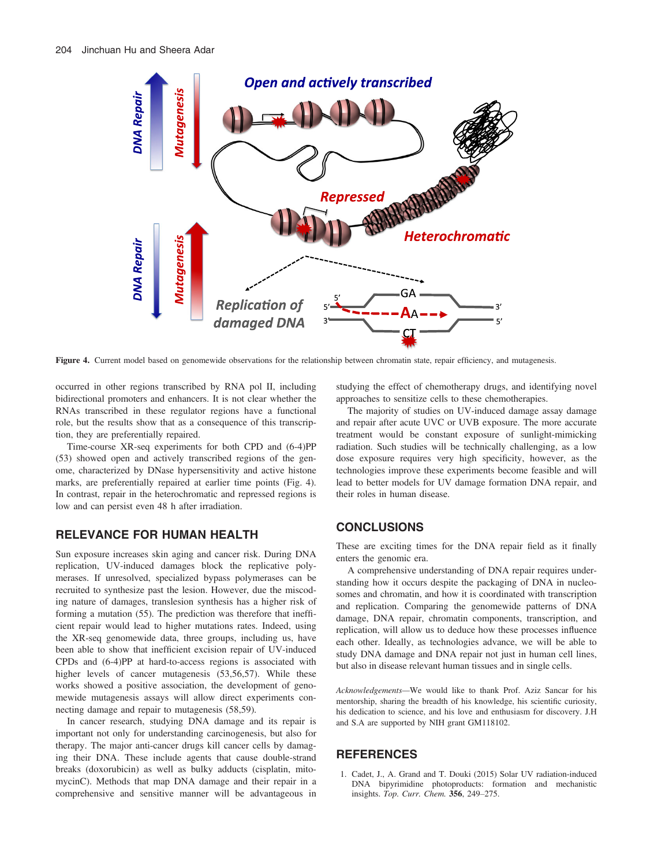

Figure 4. Current model based on genomewide observations for the relationship between chromatin state, repair efficiency, and mutagenesis.

occurred in other regions transcribed by RNA pol II, including bidirectional promoters and enhancers. It is not clear whether the RNAs transcribed in these regulator regions have a functional role, but the results show that as a consequence of this transcription, they are preferentially repaired.

Time-course XR-seq experiments for both CPD and (6-4)PP (53) showed open and actively transcribed regions of the genome, characterized by DNase hypersensitivity and active histone marks, are preferentially repaired at earlier time points (Fig. 4). In contrast, repair in the heterochromatic and repressed regions is low and can persist even 48 h after irradiation.

### RELEVANCE FOR HUMAN HEALTH

Sun exposure increases skin aging and cancer risk. During DNA replication, UV-induced damages block the replicative polymerases. If unresolved, specialized bypass polymerases can be recruited to synthesize past the lesion. However, due the miscoding nature of damages, translesion synthesis has a higher risk of forming a mutation (55). The prediction was therefore that inefficient repair would lead to higher mutations rates. Indeed, using the XR-seq genomewide data, three groups, including us, have been able to show that inefficient excision repair of UV-induced CPDs and (6-4)PP at hard-to-access regions is associated with higher levels of cancer mutagenesis (53,56,57). While these works showed a positive association, the development of genomewide mutagenesis assays will allow direct experiments connecting damage and repair to mutagenesis (58,59).

In cancer research, studying DNA damage and its repair is important not only for understanding carcinogenesis, but also for therapy. The major anti-cancer drugs kill cancer cells by damaging their DNA. These include agents that cause double-strand breaks (doxorubicin) as well as bulky adducts (cisplatin, mitomycinC). Methods that map DNA damage and their repair in a comprehensive and sensitive manner will be advantageous in studying the effect of chemotherapy drugs, and identifying novel approaches to sensitize cells to these chemotherapies.

The majority of studies on UV-induced damage assay damage and repair after acute UVC or UVB exposure. The more accurate treatment would be constant exposure of sunlight-mimicking radiation. Such studies will be technically challenging, as a low dose exposure requires very high specificity, however, as the technologies improve these experiments become feasible and will lead to better models for UV damage formation DNA repair, and their roles in human disease.

### **CONCLUSIONS**

These are exciting times for the DNA repair field as it finally enters the genomic era.

A comprehensive understanding of DNA repair requires understanding how it occurs despite the packaging of DNA in nucleosomes and chromatin, and how it is coordinated with transcription and replication. Comparing the genomewide patterns of DNA damage, DNA repair, chromatin components, transcription, and replication, will allow us to deduce how these processes influence each other. Ideally, as technologies advance, we will be able to study DNA damage and DNA repair not just in human cell lines, but also in disease relevant human tissues and in single cells.

Acknowledgements—We would like to thank Prof. Aziz Sancar for his mentorship, sharing the breadth of his knowledge, his scientific curiosity, his dedication to science, and his love and enthusiasm for discovery. J.H and S.A are supported by NIH grant GM118102.

### **REFERENCES**

1. Cadet, J., A. Grand and T. Douki (2015) Solar UV radiation-induced DNA bipyrimidine photoproducts: formation and mechanistic insights. Top. Curr. Chem. 356, 249–275.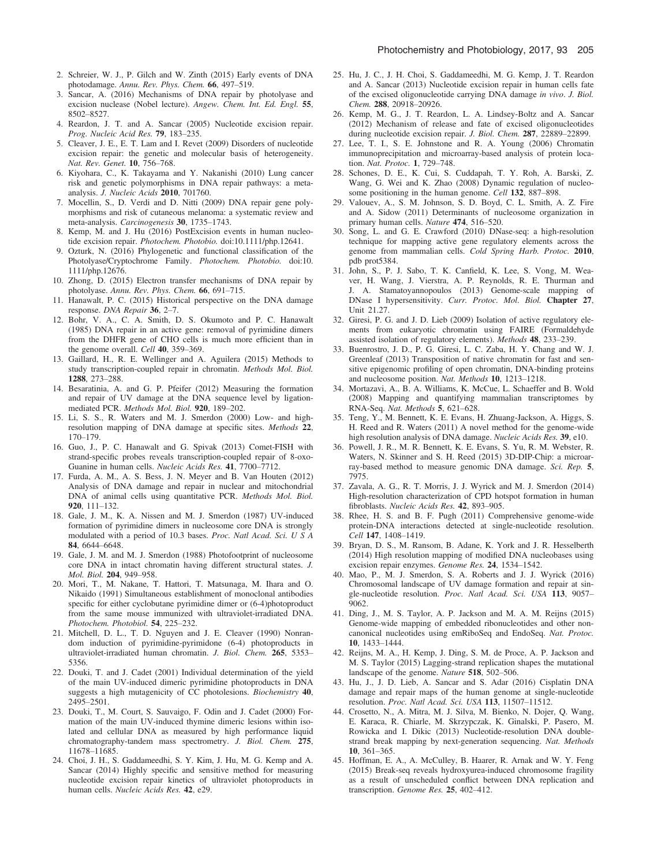- 2. Schreier, W. J., P. Gilch and W. Zinth (2015) Early events of DNA photodamage. Annu. Rev. Phys. Chem. 66, 497–519.
- 3. Sancar, A. (2016) Mechanisms of DNA repair by photolyase and excision nuclease (Nobel lecture). Angew. Chem. Int. Ed. Engl. 55, 8502–8527.
- 4. Reardon, J. T. and A. Sancar (2005) Nucleotide excision repair. Prog. Nucleic Acid Res. 79, 183–235.
- 5. Cleaver, J. E., E. T. Lam and I. Revet (2009) Disorders of nucleotide excision repair: the genetic and molecular basis of heterogeneity. Nat. Rev. Genet. 10, 756–768.
- 6. Kiyohara, C., K. Takayama and Y. Nakanishi (2010) Lung cancer risk and genetic polymorphisms in DNA repair pathways: a metaanalysis. J. Nucleic Acids 2010, 701760.
- 7. Mocellin, S., D. Verdi and D. Nitti (2009) DNA repair gene polymorphisms and risk of cutaneous melanoma: a systematic review and meta-analysis. Carcinogenesis 30, 1735–1743.
- 8. Kemp, M. and J. Hu (2016) PostExcision events in human nucleotide excision repair. Photochem. Photobio. doi:[10.1111/php.12641](http://dx.doi.org/10.1111/php.12641).
- 9. Ozturk, N. (2016) Phylogenetic and functional classification of the Photolyase/Cryptochrome Family. Photochem. Photobio. doi[:10.](http://dx.doi.org/10.1111/php.12676) [1111/php.12676](http://dx.doi.org/10.1111/php.12676).
- 10. Zhong, D. (2015) Electron transfer mechanisms of DNA repair by photolyase. Annu. Rev. Phys. Chem. 66, 691–715.
- 11. Hanawalt, P. C. (2015) Historical perspective on the DNA damage response. DNA Repair 36, 2–7.
- 12. Bohr, V. A., C. A. Smith, D. S. Okumoto and P. C. Hanawalt (1985) DNA repair in an active gene: removal of pyrimidine dimers from the DHFR gene of CHO cells is much more efficient than in the genome overall. Cell 40, 359-369.
- 13. Gaillard, H., R. E. Wellinger and A. Aguilera (2015) Methods to study transcription-coupled repair in chromatin. Methods Mol. Biol. 1288, 273–288.
- 14. Besaratinia, A. and G. P. Pfeifer (2012) Measuring the formation and repair of UV damage at the DNA sequence level by ligationmediated PCR. Methods Mol. Biol. 920, 189–202.
- 15. Li, S. S., R. Waters and M. J. Smerdon (2000) Low- and highresolution mapping of DNA damage at specific sites. Methods 22, 170–179.
- 16. Guo, J., P. C. Hanawalt and G. Spivak (2013) Comet-FISH with strand-specific probes reveals transcription-coupled repair of 8-oxo-Guanine in human cells. Nucleic Acids Res. 41, 7700–7712.
- 17. Furda, A. M., A. S. Bess, J. N. Meyer and B. Van Houten (2012) Analysis of DNA damage and repair in nuclear and mitochondrial DNA of animal cells using quantitative PCR. Methods Mol. Biol. 920, 111–132.
- 18. Gale, J. M., K. A. Nissen and M. J. Smerdon (1987) UV-induced formation of pyrimidine dimers in nucleosome core DNA is strongly modulated with a period of 10.3 bases. Proc. Natl Acad. Sci. U S A 84, 6644–6648.
- 19. Gale, J. M. and M. J. Smerdon (1988) Photofootprint of nucleosome core DNA in intact chromatin having different structural states. J. Mol. Biol. 204, 949–958.
- 20. Mori, T., M. Nakane, T. Hattori, T. Matsunaga, M. Ihara and O. Nikaido (1991) Simultaneous establishment of monoclonal antibodies specific for either cyclobutane pyrimidine dimer or (6-4)photoproduct from the same mouse immunized with ultraviolet-irradiated DNA. Photochem. Photobiol. 54, 225–232.
- 21. Mitchell, D. L., T. D. Nguyen and J. E. Cleaver (1990) Nonrandom induction of pyrimidine-pyrimidone (6-4) photoproducts in ultraviolet-irradiated human chromatin. J. Biol. Chem. 265, 5353– 5356.
- 22. Douki, T. and J. Cadet (2001) Individual determination of the yield of the main UV-induced dimeric pyrimidine photoproducts in DNA suggests a high mutagenicity of CC photolesions. Biochemistry 40, 2495–2501.
- 23. Douki, T., M. Court, S. Sauvaigo, F. Odin and J. Cadet (2000) Formation of the main UV-induced thymine dimeric lesions within isolated and cellular DNA as measured by high performance liquid chromatography-tandem mass spectrometry. J. Biol. Chem. 275, 11678–11685.
- 24. Choi, J. H., S. Gaddameedhi, S. Y. Kim, J. Hu, M. G. Kemp and A. Sancar (2014) Highly specific and sensitive method for measuring nucleotide excision repair kinetics of ultraviolet photoproducts in human cells. Nucleic Acids Res. 42, e29.
- 25. Hu, J. C., J. H. Choi, S. Gaddameedhi, M. G. Kemp, J. T. Reardon and A. Sancar (2013) Nucleotide excision repair in human cells fate of the excised oligonucleotide carrying DNA damage in vivo. J. Biol. Chem. 288, 20918–20926.
- 26. Kemp, M. G., J. T. Reardon, L. A. Lindsey-Boltz and A. Sancar (2012) Mechanism of release and fate of excised oligonucleotides during nucleotide excision repair. J. Biol. Chem. 287, 22889–22899.
- 27. Lee, T. I., S. E. Johnstone and R. A. Young (2006) Chromatin immunoprecipitation and microarray-based analysis of protein location. Nat. Protoc. 1, 729–748.
- 28. Schones, D. E., K. Cui, S. Cuddapah, T. Y. Roh, A. Barski, Z. Wang, G. Wei and K. Zhao (2008) Dynamic regulation of nucleosome positioning in the human genome. Cell 132, 887-898.
- 29. Valouev, A., S. M. Johnson, S. D. Boyd, C. L. Smith, A. Z. Fire and A. Sidow (2011) Determinants of nucleosome organization in primary human cells. Nature 474, 516–520.
- 30. Song, L. and G. E. Crawford (2010) DNase-seq: a high-resolution technique for mapping active gene regulatory elements across the genome from mammalian cells. Cold Spring Harb. Protoc. 2010, pdb prot5384.
- 31. John, S., P. J. Sabo, T. K. Canfield, K. Lee, S. Vong, M. Weaver, H. Wang, J. Vierstra, A. P. Reynolds, R. E. Thurman and J. A. Stamatoyannopoulos (2013) Genome-scale mapping of DNase I hypersensitivity. Curr. Protoc. Mol. Biol. Chapter 27, Unit 21.27.
- 32. Giresi, P. G. and J. D. Lieb (2009) Isolation of active regulatory elements from eukaryotic chromatin using FAIRE (Formaldehyde assisted isolation of regulatory elements). Methods 48, 233–239.
- 33. Buenrostro, J. D., P. G. Giresi, L. C. Zaba, H. Y. Chang and W. J. Greenleaf (2013) Transposition of native chromatin for fast and sensitive epigenomic profiling of open chromatin, DNA-binding proteins and nucleosome position. Nat. Methods 10, 1213–1218.
- 34. Mortazavi, A., B. A. Williams, K. McCue, L. Schaeffer and B. Wold (2008) Mapping and quantifying mammalian transcriptomes by RNA-Seq. Nat. Methods 5, 621–628.
- 35. Teng, Y., M. Bennett, K. E. Evans, H. Zhuang-Jackson, A. Higgs, S. H. Reed and R. Waters (2011) A novel method for the genome-wide high resolution analysis of DNA damage. Nucleic Acids Res. 39, e10.
- 36. Powell, J. R., M. R. Bennett, K. E. Evans, S. Yu, R. M. Webster, R. Waters, N. Skinner and S. H. Reed (2015) 3D-DIP-Chip: a microarray-based method to measure genomic DNA damage. Sci. Rep. 5, 7975.
- 37. Zavala, A. G., R. T. Morris, J. J. Wyrick and M. J. Smerdon (2014) High-resolution characterization of CPD hotspot formation in human fibroblasts. Nucleic Acids Res. 42, 893–905.
- 38. Rhee, H. S. and B. F. Pugh (2011) Comprehensive genome-wide protein-DNA interactions detected at single-nucleotide resolution. Cell 147, 1408–1419.
- 39. Bryan, D. S., M. Ransom, B. Adane, K. York and J. R. Hesselberth (2014) High resolution mapping of modified DNA nucleobases using excision repair enzymes. Genome Res. 24, 1534–1542.
- 40. Mao, P., M. J. Smerdon, S. A. Roberts and J. J. Wyrick (2016) Chromosomal landscape of UV damage formation and repair at single-nucleotide resolution. Proc. Natl Acad. Sci. USA 113, 9057– 9062.
- 41. Ding, J., M. S. Taylor, A. P. Jackson and M. A. M. Reijns (2015) Genome-wide mapping of embedded ribonucleotides and other noncanonical nucleotides using emRiboSeq and EndoSeq. Nat. Protoc. 10, 1433–1444.
- 42. Reijns, M. A., H. Kemp, J. Ding, S. M. de Proce, A. P. Jackson and M. S. Taylor (2015) Lagging-strand replication shapes the mutational landscape of the genome. Nature 518, 502–506.
- 43. Hu, J., J. D. Lieb, A. Sancar and S. Adar (2016) Cisplatin DNA damage and repair maps of the human genome at single-nucleotide resolution. Proc. Natl Acad. Sci. USA 113, 11507–11512.
- 44. Crosetto, N., A. Mitra, M. J. Silva, M. Bienko, N. Dojer, Q. Wang, E. Karaca, R. Chiarle, M. Skrzypczak, K. Ginalski, P. Pasero, M. Rowicka and I. Dikic (2013) Nucleotide-resolution DNA doublestrand break mapping by next-generation sequencing. Nat. Methods 10, 361–365.
- 45. Hoffman, E. A., A. McCulley, B. Haarer, R. Arnak and W. Y. Feng (2015) Break-seq reveals hydroxyurea-induced chromosome fragility as a result of unscheduled conflict between DNA replication and transcription. Genome Res. 25, 402–412.